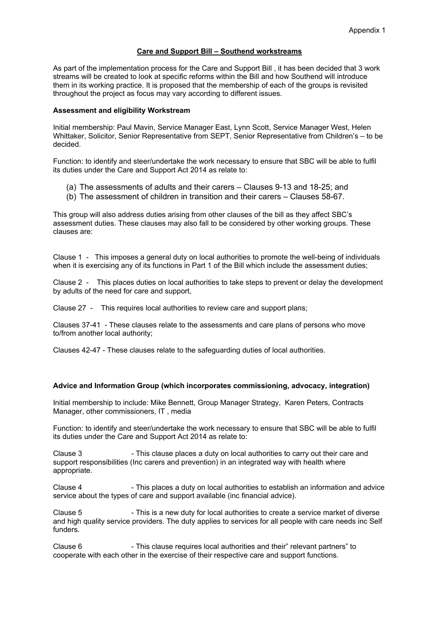## **Care and Support Bill – Southend workstreams**

As part of the implementation process for the Care and Support Bill , it has been decided that 3 work streams will be created to look at specific reforms within the Bill and how Southend will introduce them in its working practice. It is proposed that the membership of each of the groups is revisited throughout the project as focus may vary according to different issues.

## **Assessment and eligibility Workstream**

Initial membership: Paul Mavin, Service Manager East, Lynn Scott, Service Manager West, Helen Whittaker, Solicitor, Senior Representative from SEPT, Senior Representative from Children's – to be decided.

Function: to identify and steer/undertake the work necessary to ensure that SBC will be able to fulfil its duties under the Care and Support Act 2014 as relate to:

- (a) The assessments of adults and their carers Clauses 9-13 and 18-25; and
- (b) The assessment of children in transition and their carers Clauses 58-67.

This group will also address duties arising from other clauses of the bill as they affect SBC's assessment duties. These clauses may also fall to be considered by other working groups. These clauses are:

Clause 1 - This imposes a general duty on local authorities to promote the well-being of individuals when it is exercising any of its functions in Part 1 of the Bill which include the assessment duties;

Clause 2 - This places duties on local authorities to take steps to prevent or delay the development by adults of the need for care and support,

Clause 27 - This requires local authorities to review care and support plans;

Clauses 37-41 - These clauses relate to the assessments and care plans of persons who move to/from another local authority;

Clauses 42-47 - These clauses relate to the safeguarding duties of local authorities.

## **Advice and Information Group (which incorporates commissioning, advocacy, integration)**

Initial membership to include: Mike Bennett, Group Manager Strategy, Karen Peters, Contracts Manager, other commissioners, IT , media

Function: to identify and steer/undertake the work necessary to ensure that SBC will be able to fulfil its duties under the Care and Support Act 2014 as relate to:

Clause 3 - This clause places a duty on local authorities to carry out their care and support responsibilities (Inc carers and prevention) in an integrated way with health where appropriate.

Clause 4 - This places a duty on local authorities to establish an information and advice service about the types of care and support available (inc financial advice).

Clause 5 - This is a new duty for local authorities to create a service market of diverse and high quality service providers. The duty applies to services for all people with care needs inc Self funders.

Clause 6 - This clause requires local authorities and their" relevant partners" to cooperate with each other in the exercise of their respective care and support functions.